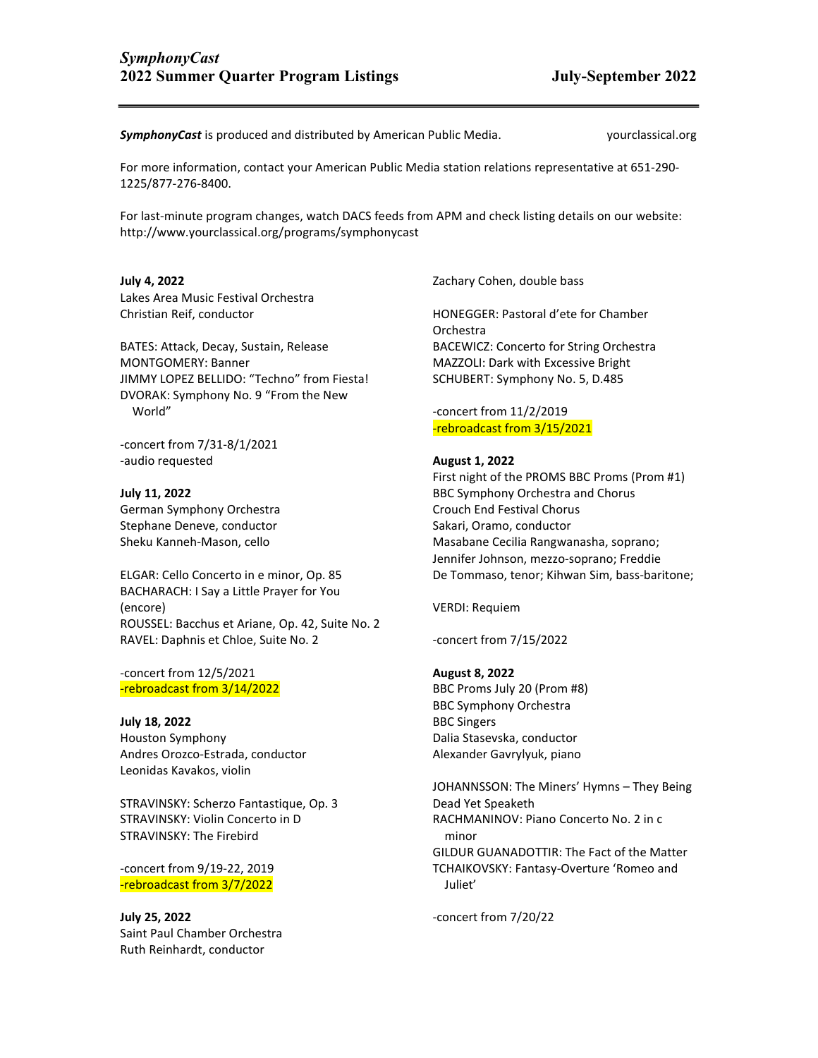**SymphonyCast** is produced and distributed by American Public Media. yourclassical.org

For more information, contact your American Public Media station relations representative at 651-290- 1225/877-276-8400.

For last-minute program changes, watch DACS feeds from APM and check listing details on our website: http://www.yourclassical.org/programs/symphonycast

## July 4, 2022

Lakes Area Music Festival Orchestra Christian Reif, conductor

BATES: Attack, Decay, Sustain, Release MONTGOMERY: Banner JIMMY LOPEZ BELLIDO: "Techno" from Fiesta! DVORAK: Symphony No. 9 "From the New World"

-concert from 7/31-8/1/2021 -audio requested

July 11, 2022 German Symphony Orchestra Stephane Deneve, conductor Sheku Kanneh-Mason, cello

ELGAR: Cello Concerto in e minor, Op. 85 BACHARACH: I Say a Little Prayer for You (encore) ROUSSEL: Bacchus et Ariane, Op. 42, Suite No. 2 RAVEL: Daphnis et Chloe, Suite No. 2

-concert from 12/5/2021 -rebroadcast from 3/14/2022

July 18, 2022 Houston Symphony Andres Orozco-Estrada, conductor Leonidas Kavakos, violin

STRAVINSKY: Scherzo Fantastique, Op. 3 STRAVINSKY: Violin Concerto in D STRAVINSKY: The Firebird

-concert from 9/19-22, 2019 -rebroadcast from 3/7/2022

July 25, 2022 Saint Paul Chamber Orchestra Ruth Reinhardt, conductor

Zachary Cohen, double bass

HONEGGER: Pastoral d'ete for Chamber Orchestra BACEWICZ: Concerto for String Orchestra MAZZOLI: Dark with Excessive Bright SCHUBERT: Symphony No. 5, D.485

-concert from 11/2/2019 -rebroadcast from 3/15/2021

# August 1, 2022

First night of the PROMS BBC Proms (Prom #1) BBC Symphony Orchestra and Chorus Crouch End Festival Chorus Sakari, Oramo, conductor Masabane Cecilia Rangwanasha, soprano; Jennifer Johnson, mezzo-soprano; Freddie De Tommaso, tenor; Kihwan Sim, bass-baritone;

VERDI: Requiem

-concert from 7/15/2022

#### August 8, 2022

BBC Proms July 20 (Prom #8) BBC Symphony Orchestra BBC Singers Dalia Stasevska, conductor Alexander Gavrylyuk, piano

JOHANNSSON: The Miners' Hymns – They Being Dead Yet Speaketh RACHMANINOV: Piano Concerto No. 2 in c minor GILDUR GUANADOTTIR: The Fact of the Matter TCHAIKOVSKY: Fantasy-Overture 'Romeo and Juliet'

-concert from 7/20/22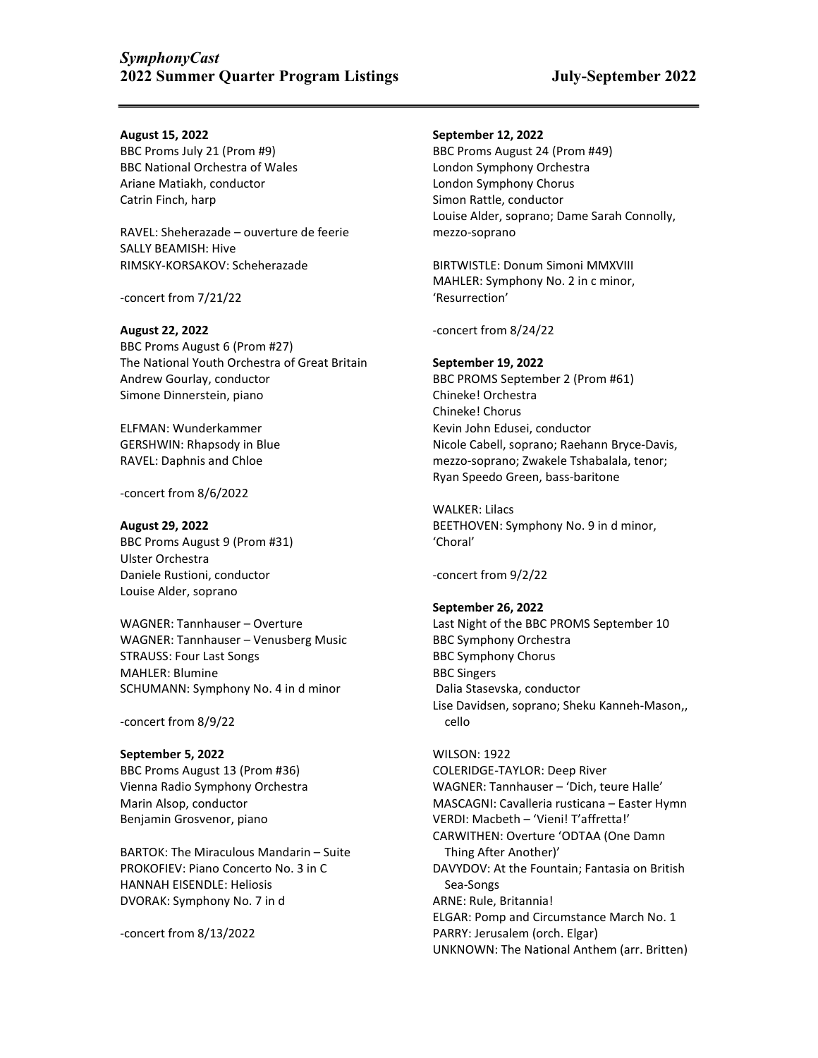### August 15, 2022

BBC Proms July 21 (Prom #9) BBC National Orchestra of Wales Ariane Matiakh, conductor Catrin Finch, harp

RAVEL: Sheherazade – ouverture de feerie SALLY BEAMISH: Hive RIMSKY-KORSAKOV: Scheherazade

-concert from 7/21/22

### August 22, 2022

BBC Proms August 6 (Prom #27) The National Youth Orchestra of Great Britain Andrew Gourlay, conductor Simone Dinnerstein, piano

ELFMAN: Wunderkammer GERSHWIN: Rhapsody in Blue RAVEL: Daphnis and Chloe

-concert from 8/6/2022

August 29, 2022 BBC Proms August 9 (Prom #31) Ulster Orchestra Daniele Rustioni, conductor Louise Alder, soprano

WAGNER: Tannhauser – Overture WAGNER: Tannhauser – Venusberg Music STRAUSS: Four Last Songs MAHLER: Blumine SCHUMANN: Symphony No. 4 in d minor

-concert from 8/9/22

# September 5, 2022 BBC Proms August 13 (Prom #36) Vienna Radio Symphony Orchestra Marin Alsop, conductor Benjamin Grosvenor, piano

BARTOK: The Miraculous Mandarin – Suite PROKOFIEV: Piano Concerto No. 3 in C HANNAH EISENDLE: Heliosis DVORAK: Symphony No. 7 in d

-concert from 8/13/2022

### September 12, 2022

BBC Proms August 24 (Prom #49) London Symphony Orchestra London Symphony Chorus Simon Rattle, conductor Louise Alder, soprano; Dame Sarah Connolly, mezzo-soprano

BIRTWISTLE: Donum Simoni MMXVIII MAHLER: Symphony No. 2 in c minor, 'Resurrection'

-concert from 8/24/22

## September 19, 2022

BBC PROMS September 2 (Prom #61) Chineke! Orchestra Chineke! Chorus Kevin John Edusei, conductor Nicole Cabell, soprano; Raehann Bryce-Davis, mezzo-soprano; Zwakele Tshabalala, tenor; Ryan Speedo Green, bass-baritone

WALKER: Lilacs BEETHOVEN: Symphony No. 9 in d minor, 'Choral'

-concert from 9/2/22

# September 26, 2022

Last Night of the BBC PROMS September 10 BBC Symphony Orchestra BBC Symphony Chorus BBC Singers Dalia Stasevska, conductor Lise Davidsen, soprano; Sheku Kanneh-Mason,, cello

# WILSON: 1922

COLERIDGE-TAYLOR: Deep River WAGNER: Tannhauser – 'Dich, teure Halle' MASCAGNI: Cavalleria rusticana – Easter Hymn VERDI: Macbeth – 'Vieni! T'affretta!' CARWITHEN: Overture 'ODTAA (One Damn Thing After Another)' DAVYDOV: At the Fountain; Fantasia on British Sea-Songs ARNE: Rule, Britannia! ELGAR: Pomp and Circumstance March No. 1 PARRY: Jerusalem (orch. Elgar) UNKNOWN: The National Anthem (arr. Britten)